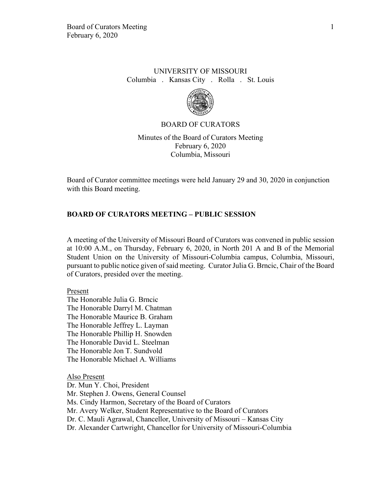## UNIVERSITY OF MISSOURI Columbia . Kansas City . Rolla . St. Louis



### BOARD OF CURATORS

Minutes of the Board of Curators Meeting February 6, 2020 Columbia, Missouri

Board of Curator committee meetings were held January 29 and 30, 2020 in conjunction with this Board meeting.

# **BOARD OF CURATORS MEETING – PUBLIC SESSION**

A meeting of the University of Missouri Board of Curators was convened in public session at 10:00 A.M., on Thursday, February 6, 2020, in North 201 A and B of the Memorial Student Union on the University of Missouri-Columbia campus, Columbia, Missouri, pursuant to public notice given of said meeting. Curator Julia G. Brncic, Chair of the Board of Curators, presided over the meeting.

### Present

The Honorable Julia G. Brncic The Honorable Darryl M. Chatman The Honorable Maurice B. Graham The Honorable Jeffrey L. Layman The Honorable Phillip H. Snowden The Honorable David L. Steelman The Honorable Jon T. Sundvold The Honorable Michael A. Williams

Also Present Dr. Mun Y. Choi, President Mr. Stephen J. Owens, General Counsel Ms. Cindy Harmon, Secretary of the Board of Curators Mr. Avery Welker, Student Representative to the Board of Curators Dr. C. Mauli Agrawal, Chancellor, University of Missouri – Kansas City Dr. Alexander Cartwright, Chancellor for University of Missouri-Columbia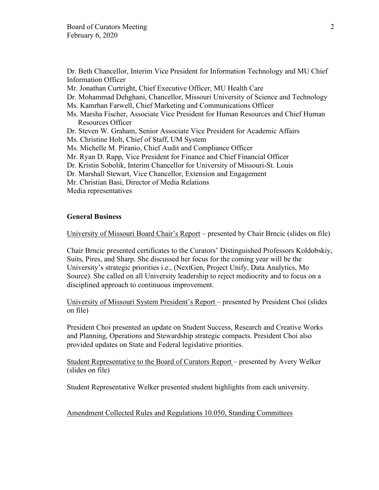Dr. Beth Chancellor, Interim Vice President for Information Technology and MU Chief Information Officer

Mr. Jonathan Curtright, Chief Executive Officer, MU Health Care

Dr. Mohammad Dehghani, Chancellor, Missouri University of Science and Technology

Ms. Kamrhan Farwell, Chief Marketing and Communications Officer

Ms. Marsha Fischer, Associate Vice President for Human Resources and Chief Human Resources Officer

Dr. Steven W. Graham, Senior Associate Vice President for Academic Affairs

Ms. Christine Holt, Chief of Staff, UM System

Ms. Michelle M. Piranio, Chief Audit and Compliance Officer

Mr. Ryan D. Rapp, Vice President for Finance and Chief Financial Officer

- Dr. Kristin Sobolik, Interim Chancellor for University of Missouri-St. Louis
- Dr. Marshall Stewart, Vice Chancellor, Extension and Engagement
- Mr. Christian Basi, Director of Media Relations

Media representatives

## **General Business**

University of Missouri Board Chair's Report – presented by Chair Brncic (slides on file)

Chair Brncic presented certificates to the Curators' Distinguished Professors Koldobskiy, Suits, Pires, and Sharp. She discussed her focus for the coming year will be the University's strategic priorities i.e., (NextGen, Project Unify, Data Analytics, Mo Source). She called on all University leadership to reject mediocrity and to focus on a disciplined approach to continuous improvement.

University of Missouri System President's Report – presented by President Choi (slides on file)

President Choi presented an update on Student Success, Research and Creative Works and Planning, Operations and Stewardship strategic compacts. President Choi also provided updates on State and Federal legislative priorities.

Student Representative to the Board of Curators Report – presented by Avery Welker (slides on file)

Student Representative Welker presented student highlights from each university.

Amendment Collected Rules and Regulations 10.050, Standing Committees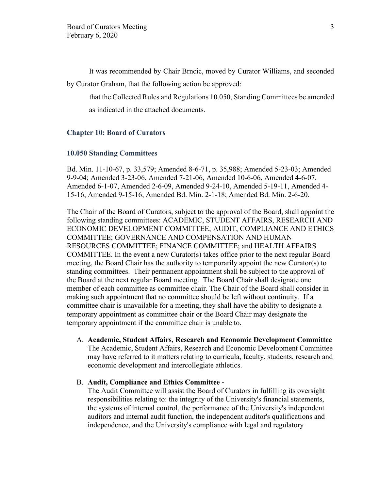It was recommended by Chair Brncic, moved by Curator Williams, and seconded by Curator Graham, that the following action be approved:

that the Collected Rules and Regulations 10.050, Standing Committees be amended as indicated in the attached documents.

### **Chapter 10: Board of Curators**

### **10.050 Standing Committees**

Bd. Min. 11-10-67, p. 33,579; Amended 8-6-71, p. 35,988; Amended 5-23-03; Amended 9-9-04; Amended 3-23-06, Amended 7-21-06, Amended 10-6-06, Amended 4-6-07, Amended 6-1-07, Amended 2-6-09, Amended 9-24-10, Amended 5-19-11, Amended 4- 15-16, Amended 9-15-16, Amended Bd. Min. 2-1-18; Amended Bd. Min. 2-6-20.

The Chair of the Board of Curators, subject to the approval of the Board, shall appoint the following standing committees: ACADEMIC, STUDENT AFFAIRS, RESEARCH AND ECONOMIC DEVELOPMENT COMMITTEE; AUDIT, COMPLIANCE AND ETHICS COMMITTEE; GOVERNANCE AND COMPENSATION AND HUMAN RESOURCES COMMITTEE; FINANCE COMMITTEE; and HEALTH AFFAIRS COMMITTEE. In the event a new Curator(s) takes office prior to the next regular Board meeting, the Board Chair has the authority to temporarily appoint the new Curator(s) to standing committees. Their permanent appointment shall be subject to the approval of the Board at the next regular Board meeting. The Board Chair shall designate one member of each committee as committee chair. The Chair of the Board shall consider in making such appointment that no committee should be left without continuity. If a committee chair is unavailable for a meeting, they shall have the ability to designate a temporary appointment as committee chair or the Board Chair may designate the temporary appointment if the committee chair is unable to.

A. **Academic, Student Affairs, Research and Economic Development Committee** The Academic, Student Affairs, Research and Economic Development Committee may have referred to it matters relating to curricula, faculty, students, research and economic development and intercollegiate athletics.

### B. **Audit, Compliance and Ethics Committee -**

The Audit Committee will assist the Board of Curators in fulfilling its oversight responsibilities relating to: the integrity of the University's financial statements, the systems of internal control, the performance of the University's independent auditors and internal audit function, the independent auditor's qualifications and independence, and the University's compliance with legal and regulatory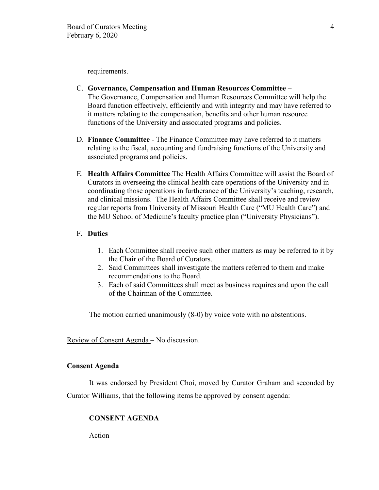requirements.

- C. **Governance, Compensation and Human Resources Committee** The Governance, Compensation and Human Resources Committee will help the Board function effectively, efficiently and with integrity and may have referred to it matters relating to the compensation, benefits and other human resource functions of the University and associated programs and policies.
- D. **Finance Committee** The Finance Committee may have referred to it matters relating to the fiscal, accounting and fundraising functions of the University and associated programs and policies.
- E. **Health Affairs Committee** The Health Affairs Committee will assist the Board of Curators in overseeing the clinical health care operations of the University and in coordinating those operations in furtherance of the University's teaching, research, and clinical missions. The Health Affairs Committee shall receive and review regular reports from University of Missouri Health Care ("MU Health Care") and the MU School of Medicine's faculty practice plan ("University Physicians").

### F. **Duties**

- 1. Each Committee shall receive such other matters as may be referred to it by the Chair of the Board of Curators.
- 2. Said Committees shall investigate the matters referred to them and make recommendations to the Board.
- 3. Each of said Committees shall meet as business requires and upon the call of the Chairman of the Committee.

The motion carried unanimously (8-0) by voice vote with no abstentions.

Review of Consent Agenda – No discussion.

### **Consent Agenda**

It was endorsed by President Choi, moved by Curator Graham and seconded by Curator Williams, that the following items be approved by consent agenda:

## **CONSENT AGENDA**

Action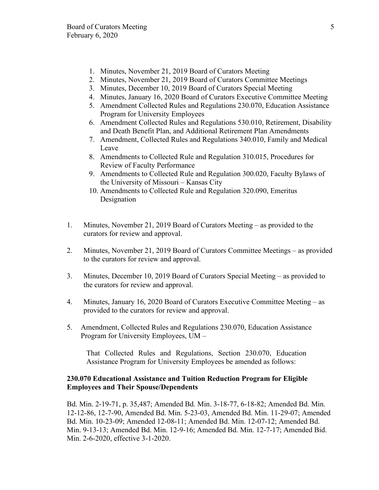- 1. Minutes, November 21, 2019 Board of Curators Meeting
- 2. Minutes, November 21, 2019 Board of Curators Committee Meetings
- 3. Minutes, December 10, 2019 Board of Curators Special Meeting
- 4. Minutes, January 16, 2020 Board of Curators Executive Committee Meeting
- 5. Amendment Collected Rules and Regulations 230.070, Education Assistance Program for University Employees
- 6. Amendment Collected Rules and Regulations 530.010, Retirement, Disability and Death Benefit Plan, and Additional Retirement Plan Amendments
- 7. Amendment, Collected Rules and Regulations 340.010, Family and Medical Leave
- 8. Amendments to Collected Rule and Regulation 310.015, Procedures for Review of Faculty Performance
- 9. Amendments to Collected Rule and Regulation 300.020, Faculty Bylaws of the University of Missouri – Kansas City
- 10. Amendments to Collected Rule and Regulation 320.090, Emeritus Designation
- 1. Minutes, November 21, 2019 Board of Curators Meeting as provided to the curators for review and approval.
- 2. Minutes, November 21, 2019 Board of Curators Committee Meetings as provided to the curators for review and approval.
- 3. Minutes, December 10, 2019 Board of Curators Special Meeting as provided to the curators for review and approval.
- 4. Minutes, January 16, 2020 Board of Curators Executive Committee Meeting as provided to the curators for review and approval.
- 5. Amendment, Collected Rules and Regulations 230.070, Education Assistance Program for University Employees, UM –

That Collected Rules and Regulations, Section 230.070, Education Assistance Program for University Employees be amended as follows:

# **230.070 Educational Assistance and Tuition Reduction Program for Eligible Employees and Their Spouse/Dependents**

Bd. Min. 2-19-71, p. 35,487; Amended Bd. Min. 3-18-77, 6-18-82; Amended Bd. Min. 12-12-86, 12-7-90, Amended Bd. Min. 5-23-03, Amended Bd. Min. 11-29-07; Amended Bd. Min. 10-23-09; Amended 12-08-11; Amended Bd. Min. 12-07-12; Amended Bd. Min. 9-13-13; Amended Bd. Min. 12-9-16; Amended Bd. Min. 12-7-17; Amended Bid. Min. 2-6-2020, effective 3-1-2020.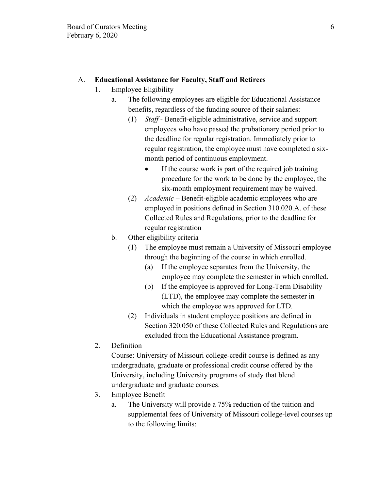# A. **Educational Assistance for Faculty, Staff and Retirees**

- 1. Employee Eligibility
	- a. The following employees are eligible for Educational Assistance benefits, regardless of the funding source of their salaries:
		- (1) *Staff* Benefit-eligible administrative, service and support employees who have passed the probationary period prior to the deadline for regular registration. Immediately prior to regular registration, the employee must have completed a sixmonth period of continuous employment.
			- If the course work is part of the required job training procedure for the work to be done by the employee, the six-month employment requirement may be waived.
		- (2) *Academic*  Benefit-eligible academic employees who are employed in positions defined in Section 310.020.A. of these Collected Rules and Regulations, prior to the deadline for regular registration
	- b. Other eligibility criteria
		- (1) The employee must remain a University of Missouri employee through the beginning of the course in which enrolled.
			- (a) If the employee separates from the University, the employee may complete the semester in which enrolled.
			- (b) If the employee is approved for Long-Term Disability (LTD), the employee may complete the semester in which the employee was approved for LTD.
		- (2) Individuals in student employee positions are defined in Section 320.050 of these Collected Rules and Regulations are excluded from the Educational Assistance program.
- 2. Definition

Course: University of Missouri college-credit course is defined as any undergraduate, graduate or professional credit course offered by the University, including University programs of study that blend undergraduate and graduate courses.

- 3. Employee Benefit
	- a. The University will provide a 75% reduction of the tuition and supplemental fees of University of Missouri college-level courses up to the following limits: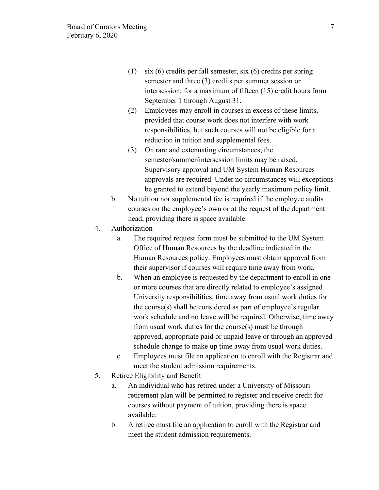- (1) six (6) credits per fall semester, six (6) credits per spring semester and three (3) credits per summer session or intersession; for a maximum of fifteen (15) credit hours from September 1 through August 31.
- (2) Employees may enroll in courses in excess of these limits, provided that course work does not interfere with work responsibilities, but such courses will not be eligible for a reduction in tuition and supplemental fees.
- (3) On rare and extenuating circumstances, the semester/summer/intersession limits may be raised. Supervisory approval and UM System Human Resources approvals are required. Under no circumstances will exceptions be granted to extend beyond the yearly maximum policy limit.
- b. No tuition nor supplemental fee is required if the employee audits courses on the employee's own or at the request of the department head, providing there is space available.
- 4. Authorization
	- a. The required request form must be submitted to the UM System Office of Human Resources by the deadline indicated in the Human Resources policy. Employees must obtain approval from their supervisor if courses will require time away from work.
	- b. When an employee is requested by the department to enroll in one or more courses that are directly related to employee's assigned University responsibilities, time away from usual work duties for the course(s) shall be considered as part of employee's regular work schedule and no leave will be required. Otherwise, time away from usual work duties for the course(s) must be through approved, appropriate paid or unpaid leave or through an approved schedule change to make up time away from usual work duties.
	- c. Employees must file an application to enroll with the Registrar and meet the student admission requirements.
- 5. Retiree Eligibility and Benefit
	- a. An individual who has retired under a University of Missouri retirement plan will be permitted to register and receive credit for courses without payment of tuition, providing there is space available.
	- b. A retiree must file an application to enroll with the Registrar and meet the student admission requirements.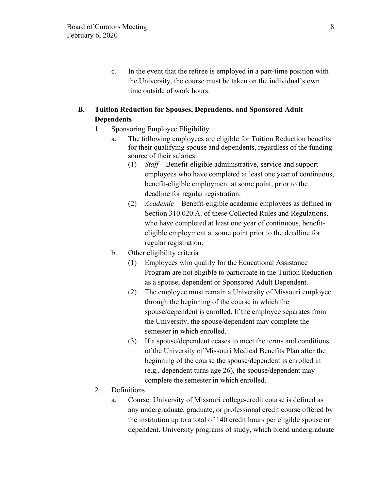c. In the event that the retiree is employed in a part-time position with the University, the course must be taken on the individual's own time outside of work hours.

# **B. Tuition Reduction for Spouses, Dependents, and Sponsored Adult Dependents**

- 1. Sponsoring Employee Eligibility
	- a. The following employees are eligible for Tuition Reduction benefits for their qualifying spouse and dependents, regardless of the funding source of their salaries:
		- (1) *Staff* Benefit-eligible administrative, service and support employees who have completed at least one year of continuous, benefit-eligible employment at some point, prior to the deadline for regular registration.
		- (2) *Academic* Benefit-eligible academic employees as defined in Section 310.020.A. of these Collected Rules and Regulations, who have completed at least one year of continuous, benefiteligible employment at some point prior to the deadline for regular registration.
	- b. Other eligibility criteria
		- (1) Employees who qualify for the Educational Assistance Program are not eligible to participate in the Tuition Reduction as a spouse, dependent or Sponsored Adult Dependent.
		- (2) The employee must remain a University of Missouri employee through the beginning of the course in which the spouse/dependent is enrolled. If the employee separates from the University, the spouse/dependent may complete the semester in which enrolled.
		- (3) If a spouse/dependent ceases to meet the terms and conditions of the University of Missouri Medical Benefits Plan after the beginning of the course the spouse/dependent is enrolled in (e.g., dependent turns age 26), the spouse/dependent may complete the semester in which enrolled.
- 2. Definitions
	- a. Course: University of Missouri college-credit course is defined as any undergraduate, graduate, or professional credit course offered by the institution up to a total of 140 credit hours per eligible spouse or dependent. University programs of study, which blend undergraduate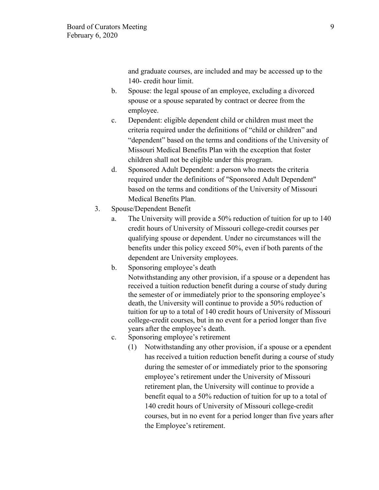and graduate courses, are included and may be accessed up to the 140- credit hour limit.

- b. Spouse: the legal spouse of an employee, excluding a divorced spouse or a spouse separated by contract or decree from the employee.
- c. Dependent: eligible dependent child or children must meet the criteria required under the definitions of "child or children" and "dependent" based on the terms and conditions of the University of Missouri Medical Benefits Plan with the exception that foster children shall not be eligible under this program.
- d. Sponsored Adult Dependent: a person who meets the criteria required under the definitions of "Sponsored Adult Dependent" based on the terms and conditions of the University of Missouri Medical Benefits Plan.
- 3. Spouse/Dependent Benefit
	- a. The University will provide a 50% reduction of tuition for up to 140 credit hours of University of Missouri college-credit courses per qualifying spouse or dependent. Under no circumstances will the benefits under this policy exceed 50%, even if both parents of the dependent are University employees.
	- b. Sponsoring employee's death

Notwithstanding any other provision, if a spouse or a dependent has received a tuition reduction benefit during a course of study during the semester of or immediately prior to the sponsoring employee's death, the University will continue to provide a 50% reduction of tuition for up to a total of 140 credit hours of University of Missouri college-credit courses, but in no event for a period longer than five years after the employee's death.

- c. Sponsoring employee's retirement
	- (1) Notwithstanding any other provision, if a spouse or a ependent has received a tuition reduction benefit during a course of study during the semester of or immediately prior to the sponsoring employee's retirement under the University of Missouri retirement plan, the University will continue to provide a benefit equal to a 50% reduction of tuition for up to a total of 140 credit hours of University of Missouri college-credit courses, but in no event for a period longer than five years after the Employee's retirement.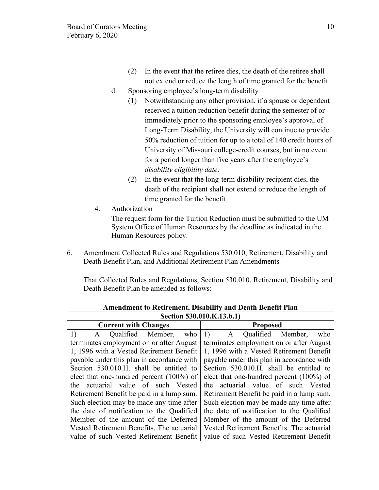- (2) In the event that the retiree dies, the death of the retiree shall not extend or reduce the length of time granted for the benefit.
- d. Sponsoring employee's long-term disability
	- (1) Notwithstanding any other provision, if a spouse or dependent received a tuition reduction benefit during the semester of or immediately prior to the sponsoring employee's approval of Long-Term Disability, the University will continue to provide 50% reduction of tuition for up to a total of 140 credit hours of University of Missouri college-credit courses, but in no event for a period longer than five years after the employee's *disability eligibility date*.
	- (2) In the event that the long-term disability recipient dies, the death of the recipient shall not extend or reduce the length of time granted for the benefit.
- 4. Authorization

The request form for the Tuition Reduction must be submitted to the UM System Office of Human Resources by the deadline as indicated in the Human Resources policy.

6. Amendment Collected Rules and Regulations 530.010, Retirement, Disability and Death Benefit Plan, and Additional Retirement Plan Amendments

That Collected Rules and Regulations, Section 530.010, Retirement, Disability and Death Benefit Plan be amended as follows:

| <b>Amendment to Retirement, Disability and Death Benefit Plan</b> |                                             |
|-------------------------------------------------------------------|---------------------------------------------|
| Section 530.010.K.13.b.1)                                         |                                             |
| <b>Current with Changes</b>                                       | <b>Proposed</b>                             |
| A Qualified Member,<br>1)<br>who                                  | A Qualified Member,<br>1)<br>who            |
| terminates employment on or after August                          | terminates employment on or after August    |
| 1, 1996 with a Vested Retirement Benefit                          | 1, 1996 with a Vested Retirement Benefit    |
| payable under this plan in accordance with                        | payable under this plan in accordance with  |
| Section 530.010.H. shall be entitled to                           | Section 530.010.H. shall be entitled to     |
| elect that one-hundred percent (100%) of                          | elect that one-hundred percent $(100\%)$ of |
| the actuarial value of such Vested                                | the actuarial value of such Vested          |
| Retirement Benefit be paid in a lump sum.                         | Retirement Benefit be paid in a lump sum.   |
| Such election may be made any time after                          | Such election may be made any time after    |
| the date of notification to the Qualified                         | the date of notification to the Qualified   |
| Member of the amount of the Deferred                              | Member of the amount of the Deferred        |
| Vested Retirement Benefits. The actuarial                         | Vested Retirement Benefits. The actuarial   |
| value of such Vested Retirement Benefit                           | value of such Vested Retirement Benefit     |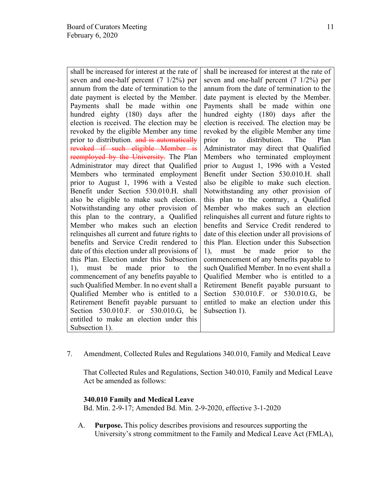shall be increased for interest at the rate of seven and one-half percent (7 1/2%) per annum from the date of termination to the date payment is elected by the Member. Payments shall be made within one hundred eighty (180) days after the election is received. The election may be revoked by the eligible Member any time prior to distribution. and is automatically revoked if such eligible Member is reemployed by the University. The Plan Administrator may direct that Qualified Members who terminated employment prior to August 1, 1996 with a Vested Benefit under Section 530.010.H. shall also be eligible to make such election. Notwithstanding any other provision of this plan to the contrary, a Qualified Member who makes such an election relinquishes all current and future rights to benefits and Service Credit rendered to date of this election under all provisions of this Plan. Election under this Subsection 1), must be made prior to the commencement of any benefits payable to such Qualified Member. In no event shall a Qualified Member who is entitled to a Retirement Benefit payable pursuant to Section 530.010.F. or 530.010.G, be entitled to make an election under this Subsection 1).

shall be increased for interest at the rate of seven and one-half percent (7 1/2%) per annum from the date of termination to the date payment is elected by the Member. Payments shall be made within one hundred eighty (180) days after the election is received. The election may be revoked by the eligible Member any time prior to distribution. The Plan Administrator may direct that Qualified Members who terminated employment prior to August 1, 1996 with a Vested Benefit under Section 530.010.H. shall also be eligible to make such election. Notwithstanding any other provision of this plan to the contrary, a Qualified Member who makes such an election relinquishes all current and future rights to benefits and Service Credit rendered to date of this election under all provisions of this Plan. Election under this Subsection 1), must be made prior to the commencement of any benefits payable to such Qualified Member. In no event shall a Qualified Member who is entitled to a Retirement Benefit payable pursuant to Section 530.010.F. or 530.010.G, be entitled to make an election under this Subsection 1).

7. Amendment, Collected Rules and Regulations 340.010, Family and Medical Leave

That Collected Rules and Regulations, Section 340.010, Family and Medical Leave Act be amended as follows:

### **340.010 Family and Medical Leave**

Bd. Min. 2-9-17; Amended Bd. Min. 2-9-2020, effective 3-1-2020

A. **Purpose.** This policy describes provisions and resources supporting the University's strong commitment to the Family and Medical Leave Act (FMLA),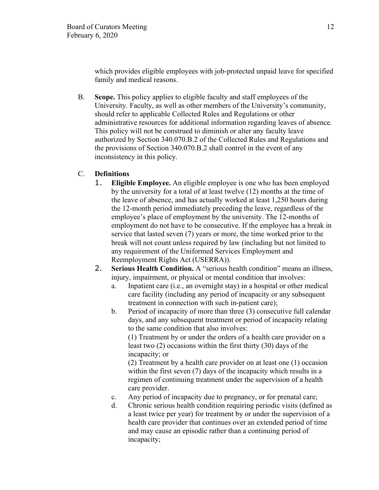which provides eligible employees with job-protected unpaid leave for specified family and medical reasons.

B. **Scope.** This policy applies to eligible faculty and staff employees of the University. Faculty, as well as other members of the University's community, should refer to applicable Collected Rules and Regulations or other administrative resources for additional information regarding leaves of absence. This policy will not be construed to diminish or alter any faculty leave authorized by Section 340.070.B.2 of the Collected Rules and Regulations and the provisions of Section 340.070.B.2 shall control in the event of any inconsistency in this policy.

# C. **Definitions**

- 1. **Eligible Employee.** An eligible employee is one who has been employed by the university for a total of at least twelve (12) months at the time of the leave of absence, and has actually worked at least 1,250 hours during the 12-month period immediately preceding the leave, regardless of the employee's place of employment by the university. The 12-months of employment do not have to be consecutive. If the employee has a break in service that lasted seven (7) years or more, the time worked prior to the break will not count unless required by law (including but not limited to any requirement of the Uniformed Services Employment and Reemployment Rights Act (USERRA)).
- 2. **Serious Health Condition.** A "serious health condition" means an illness, injury, impairment, or physical or mental condition that involves:
	- a. Inpatient care (i.e., an overnight stay) in a hospital or other medical care facility (including any period of incapacity or any subsequent treatment in connection with such in-patient care);
	- b. Period of incapacity of more than three (3) consecutive full calendar days, and any subsequent treatment or period of incapacity relating to the same condition that also involves:

(1) Treatment by or under the orders of a health care provider on a least two (2) occasions within the first thirty (30) days of the incapacity; or

(2) Treatment by a health care provider on at least one (1) occasion within the first seven (7) days of the incapacity which results in a regimen of continuing treatment under the supervision of a health care provider.

- c. Any period of incapacity due to pregnancy, or for prenatal care;
- d. Chronic serious health condition requiring periodic visits (defined as a least twice per year) for treatment by or under the supervision of a health care provider that continues over an extended period of time and may cause an episodic rather than a continuing period of incapacity;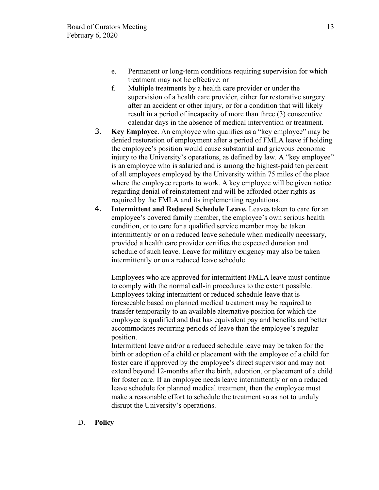- e. Permanent or long-term conditions requiring supervision for which treatment may not be effective; or
- f. Multiple treatments by a health care provider or under the supervision of a health care provider, either for restorative surgery after an accident or other injury, or for a condition that will likely result in a period of incapacity of more than three (3) consecutive calendar days in the absence of medical intervention or treatment.
- 3. **Key Employee**. An employee who qualifies as a "key employee" may be denied restoration of employment after a period of FMLA leave if holding the employee's position would cause substantial and grievous economic injury to the University's operations, as defined by law. A "key employee" is an employee who is salaried and is among the highest-paid ten percent of all employees employed by the University within 75 miles of the place where the employee reports to work. A key employee will be given notice regarding denial of reinstatement and will be afforded other rights as required by the FMLA and its implementing regulations.
- 4. **Intermittent and Reduced Schedule Leave.** Leaves taken to care for an employee's covered family member, the employee's own serious health condition, or to care for a qualified service member may be taken intermittently or on a reduced leave schedule when medically necessary, provided a health care provider certifies the expected duration and schedule of such leave. Leave for military exigency may also be taken intermittently or on a reduced leave schedule.

Employees who are approved for intermittent FMLA leave must continue to comply with the normal call-in procedures to the extent possible. Employees taking intermittent or reduced schedule leave that is foreseeable based on planned medical treatment may be required to transfer temporarily to an available alternative position for which the employee is qualified and that has equivalent pay and benefits and better accommodates recurring periods of leave than the employee's regular position.

Intermittent leave and/or a reduced schedule leave may be taken for the birth or adoption of a child or placement with the employee of a child for foster care if approved by the employee's direct supervisor and may not extend beyond 12-months after the birth, adoption, or placement of a child for foster care. If an employee needs leave intermittently or on a reduced leave schedule for planned medical treatment, then the employee must make a reasonable effort to schedule the treatment so as not to unduly disrupt the University's operations.

D. **Policy**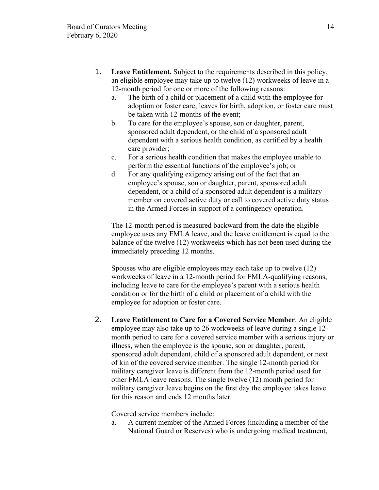- 1. **Leave Entitlement.** Subject to the requirements described in this policy, an eligible employee may take up to twelve (12) workweeks of leave in a 12-month period for one or more of the following reasons:
	- a. The birth of a child or placement of a child with the employee for adoption or foster care; leaves for birth, adoption, or foster care must be taken with 12-months of the event;
	- b. To care for the employee's spouse, son or daughter, parent, sponsored adult dependent, or the child of a sponsored adult dependent with a serious health condition, as certified by a health care provider;
	- c. For a serious health condition that makes the employee unable to perform the essential functions of the employee's job; or
	- d. For any qualifying exigency arising out of the fact that an employee's spouse, son or daughter, parent, sponsored adult dependent, or a child of a sponsored adult dependent is a military member on covered active duty or call to covered active duty status in the Armed Forces in support of a contingency operation.

The 12-month period is measured backward from the date the eligible employee uses any FMLA leave, and the leave entitlement is equal to the balance of the twelve (12) workweeks which has not been used during the immediately preceding 12 months.

Spouses who are eligible employees may each take up to twelve (12) workweeks of leave in a 12-month period for FMLA-qualifying reasons, including leave to care for the employee's parent with a serious health condition or for the birth of a child or placement of a child with the employee for adoption or foster care.

2. **Leave Entitlement to Care for a Covered Service Member**. An eligible employee may also take up to 26 workweeks of leave during a single 12 month period to care for a covered service member with a serious injury or illness, when the employee is the spouse, son or daughter, parent, sponsored adult dependent, child of a sponsored adult dependent, or next of kin of the covered service member. The single 12-month period for military caregiver leave is different from the 12-month period used for other FMLA leave reasons. The single twelve (12) month period for military caregiver leave begins on the first day the employee takes leave for this reason and ends 12 months later.

Covered service members include:

a. A current member of the Armed Forces (including a member of the National Guard or Reserves) who is undergoing medical treatment,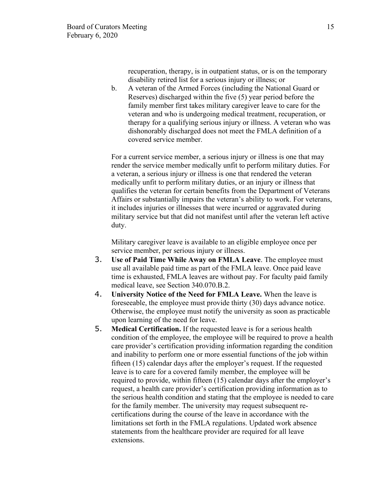recuperation, therapy, is in outpatient status, or is on the temporary disability retired list for a serious injury or illness; or

b. A veteran of the Armed Forces (including the National Guard or Reserves) discharged within the five (5) year period before the family member first takes military caregiver leave to care for the veteran and who is undergoing medical treatment, recuperation, or therapy for a qualifying serious injury or illness. A veteran who was dishonorably discharged does not meet the FMLA definition of a covered service member.

For a current service member, a serious injury or illness is one that may render the service member medically unfit to perform military duties. For a veteran, a serious injury or illness is one that rendered the veteran medically unfit to perform military duties, or an injury or illness that qualifies the veteran for certain benefits from the Department of Veterans Affairs or substantially impairs the veteran's ability to work. For veterans, it includes injuries or illnesses that were incurred or aggravated during military service but that did not manifest until after the veteran left active duty.

Military caregiver leave is available to an eligible employee once per service member, per serious injury or illness.

- 3. **Use of Paid Time While Away on FMLA Leave**. The employee must use all available paid time as part of the FMLA leave. Once paid leave time is exhausted, FMLA leaves are without pay. For faculty paid family medical leave, see Section 340.070.B.2.
- 4. **University Notice of the Need for FMLA Leave.** When the leave is foreseeable, the employee must provide thirty (30) days advance notice. Otherwise, the employee must notify the university as soon as practicable upon learning of the need for leave.
- 5. **Medical Certification.** If the requested leave is for a serious health condition of the employee, the employee will be required to prove a health care provider's certification providing information regarding the condition and inability to perform one or more essential functions of the job within fifteen (15) calendar days after the employer's request. If the requested leave is to care for a covered family member, the employee will be required to provide, within fifteen (15) calendar days after the employer's request, a health care provider's certification providing information as to the serious health condition and stating that the employee is needed to care for the family member. The university may request subsequent recertifications during the course of the leave in accordance with the limitations set forth in the FMLA regulations. Updated work absence statements from the healthcare provider are required for all leave extensions.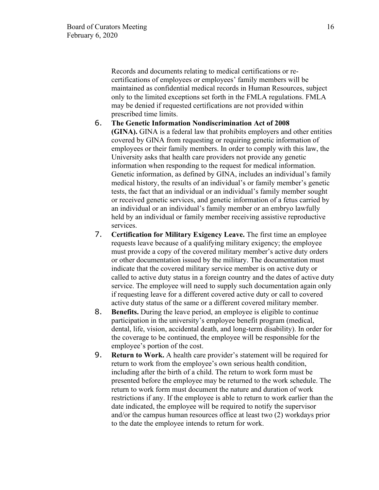Records and documents relating to medical certifications or recertifications of employees or employees' family members will be maintained as confidential medical records in Human Resources, subject only to the limited exceptions set forth in the FMLA regulations. FMLA may be denied if requested certifications are not provided within prescribed time limits.

# 6. **The Genetic Information Nondiscrimination Act of 2008 (GINA).** GINA is a federal law that prohibits employers and other entities covered by GINA from requesting or requiring genetic information of employees or their family members. In order to comply with this law, the University asks that health care providers not provide any genetic information when responding to the request for medical information. Genetic information, as defined by GINA, includes an individual's family medical history, the results of an individual's or family member's genetic tests, the fact that an individual or an individual's family member sought or received genetic services, and genetic information of a fetus carried by an individual or an individual's family member or an embryo lawfully held by an individual or family member receiving assistive reproductive services.

- 7. **Certification for Military Exigency Leave.** The first time an employee requests leave because of a qualifying military exigency; the employee must provide a copy of the covered military member's active duty orders or other documentation issued by the military. The documentation must indicate that the covered military service member is on active duty or called to active duty status in a foreign country and the dates of active duty service. The employee will need to supply such documentation again only if requesting leave for a different covered active duty or call to covered active duty status of the same or a different covered military member.
- 8. **Benefits.** During the leave period, an employee is eligible to continue participation in the university's employee benefit program (medical, dental, life, vision, accidental death, and long-term disability). In order for the coverage to be continued, the employee will be responsible for the employee's portion of the cost.
- 9. **Return to Work.** A health care provider's statement will be required for return to work from the employee's own serious health condition, including after the birth of a child. The return to work form must be presented before the employee may be returned to the work schedule. The return to work form must document the nature and duration of work restrictions if any. If the employee is able to return to work earlier than the date indicated, the employee will be required to notify the supervisor and/or the campus human resources office at least two (2) workdays prior to the date the employee intends to return for work.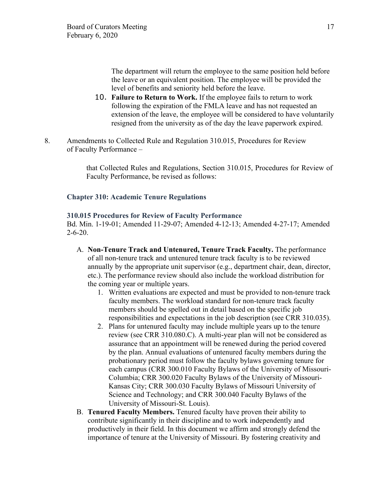The department will return the employee to the same position held before the leave or an equivalent position. The employee will be provided the level of benefits and seniority held before the leave.

- 10. **Failure to Return to Work.** If the employee fails to return to work following the expiration of the FMLA leave and has not requested an extension of the leave, the employee will be considered to have voluntarily resigned from the university as of the day the leave paperwork expired.
- 8. Amendments to Collected Rule and Regulation 310.015, Procedures for Review of Faculty Performance –

that Collected Rules and Regulations, Section 310.015, Procedures for Review of Faculty Performance, be revised as follows:

## **Chapter 310: Academic Tenure Regulations**

### **310.015 Procedures for Review of Faculty Performance**

Bd. Min. 1-19-01; Amended 11-29-07; Amended 4-12-13; Amended 4-27-17; Amended 2-6-20.

- A. **Non-Tenure Track and Untenured, Tenure Track Faculty.** The performance of all non-tenure track and untenured tenure track faculty is to be reviewed annually by the appropriate unit supervisor (e.g., department chair, dean, director, etc.). The performance review should also include the workload distribution for the coming year or multiple years.
	- 1. Written evaluations are expected and must be provided to non-tenure track faculty members. The workload standard for non-tenure track faculty members should be spelled out in detail based on the specific job responsibilities and expectations in the job description (see CRR 310.035).
	- 2. Plans for untenured faculty may include multiple years up to the tenure review (see CRR 310.080.C). A multi-year plan will not be considered as assurance that an appointment will be renewed during the period covered by the plan. Annual evaluations of untenured faculty members during the probationary period must follow the faculty bylaws governing tenure for each campus (CRR 300.010 Faculty Bylaws of the University of Missouri-Columbia; CRR 300.020 Faculty Bylaws of the University of Missouri-Kansas City; CRR 300.030 Faculty Bylaws of Missouri University of Science and Technology; and CRR 300.040 Faculty Bylaws of the University of Missouri-St. Louis).
- B. **Tenured Faculty Members.** Tenured faculty have proven their ability to contribute significantly in their discipline and to work independently and productively in their field. In this document we affirm and strongly defend the importance of tenure at the University of Missouri. By fostering creativity and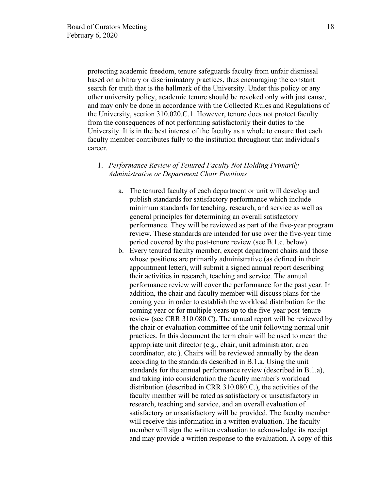protecting academic freedom, tenure safeguards faculty from unfair dismissal based on arbitrary or discriminatory practices, thus encouraging the constant search for truth that is the hallmark of the University. Under this policy or any other university policy, academic tenure should be revoked only with just cause, and may only be done in accordance with the Collected Rules and Regulations of the University, section 310.020.C.1. However, tenure does not protect faculty from the consequences of not performing satisfactorily their duties to the University. It is in the best interest of the faculty as a whole to ensure that each faculty member contributes fully to the institution throughout that individual's career.

## 1. *Performance Review of Tenured Faculty Not Holding Primarily Administrative or Department Chair Positions*

- a. The tenured faculty of each department or unit will develop and publish standards for satisfactory performance which include minimum standards for teaching, research, and service as well as general principles for determining an overall satisfactory performance. They will be reviewed as part of the five-year program review. These standards are intended for use over the five-year time period covered by the post-tenure review (see B.1.c. below).
- b. Every tenured faculty member, except department chairs and those whose positions are primarily administrative (as defined in their appointment letter), will submit a signed annual report describing their activities in research, teaching and service. The annual performance review will cover the performance for the past year. In addition, the chair and faculty member will discuss plans for the coming year in order to establish the workload distribution for the coming year or for multiple years up to the five-year post-tenure review (see CRR 310.080.C). The annual report will be reviewed by the chair or evaluation committee of the unit following normal unit practices. In this document the term chair will be used to mean the appropriate unit director (e.g., chair, unit administrator, area coordinator, etc.). Chairs will be reviewed annually by the dean according to the standards described in B.1.a. Using the unit standards for the annual performance review (described in B.1.a), and taking into consideration the faculty member's workload distribution (described in CRR 310.080.C.), the activities of the faculty member will be rated as satisfactory or unsatisfactory in research, teaching and service, and an overall evaluation of satisfactory or unsatisfactory will be provided. The faculty member will receive this information in a written evaluation. The faculty member will sign the written evaluation to acknowledge its receipt and may provide a written response to the evaluation. A copy of this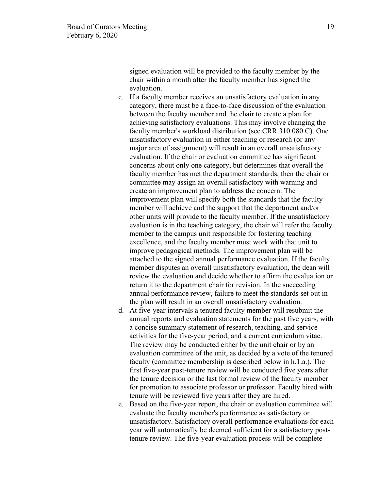signed evaluation will be provided to the faculty member by the chair within a month after the faculty member has signed the evaluation.

- c. If a faculty member receives an unsatisfactory evaluation in any category, there must be a face-to-face discussion of the evaluation between the faculty member and the chair to create a plan for achieving satisfactory evaluations. This may involve changing the faculty member's workload distribution (see CRR 310.080.C). One unsatisfactory evaluation in either teaching or research (or any major area of assignment) will result in an overall unsatisfactory evaluation. If the chair or evaluation committee has significant concerns about only one category, but determines that overall the faculty member has met the department standards, then the chair or committee may assign an overall satisfactory with warning and create an improvement plan to address the concern. The improvement plan will specify both the standards that the faculty member will achieve and the support that the department and/or other units will provide to the faculty member. If the unsatisfactory evaluation is in the teaching category, the chair will refer the faculty member to the campus unit responsible for fostering teaching excellence, and the faculty member must work with that unit to improve pedagogical methods. The improvement plan will be attached to the signed annual performance evaluation. If the faculty member disputes an overall unsatisfactory evaluation, the dean will review the evaluation and decide whether to affirm the evaluation or return it to the department chair for revision. In the succeeding annual performance review, failure to meet the standards set out in the plan will result in an overall unsatisfactory evaluation.
- d. At five-year intervals a tenured faculty member will resubmit the annual reports and evaluation statements for the past five years, with a concise summary statement of research, teaching, and service activities for the five-year period, and a current curriculum vitae. The review may be conducted either by the unit chair or by an evaluation committee of the unit, as decided by a vote of the tenured faculty (committee membership is described below in h.1.a.). The first five-year post-tenure review will be conducted five years after the tenure decision or the last formal review of the faculty member for promotion to associate professor or professor. Faculty hired with tenure will be reviewed five years after they are hired.
- e. Based on the five-year report, the chair or evaluation committee will evaluate the faculty member's performance as satisfactory or unsatisfactory. Satisfactory overall performance evaluations for each year will automatically be deemed sufficient for a satisfactory posttenure review. The five-year evaluation process will be complete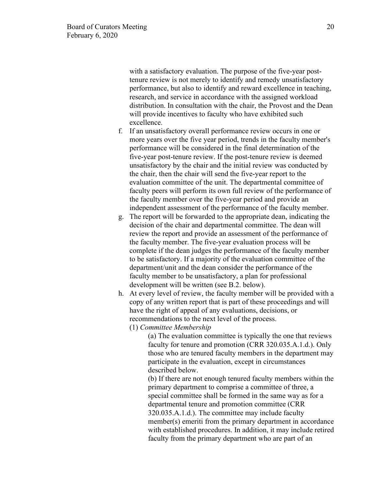with a satisfactory evaluation. The purpose of the five-year posttenure review is not merely to identify and remedy unsatisfactory performance, but also to identify and reward excellence in teaching, research, and service in accordance with the assigned workload distribution. In consultation with the chair, the Provost and the Dean will provide incentives to faculty who have exhibited such excellence.

- f. If an unsatisfactory overall performance review occurs in one or more years over the five year period, trends in the faculty member's performance will be considered in the final determination of the five-year post-tenure review. If the post-tenure review is deemed unsatisfactory by the chair and the initial review was conducted by the chair, then the chair will send the five-year report to the evaluation committee of the unit. The departmental committee of faculty peers will perform its own full review of the performance of the faculty member over the five-year period and provide an independent assessment of the performance of the faculty member.
- g. The report will be forwarded to the appropriate dean, indicating the decision of the chair and departmental committee. The dean will review the report and provide an assessment of the performance of the faculty member. The five-year evaluation process will be complete if the dean judges the performance of the faculty member to be satisfactory. If a majority of the evaluation committee of the department/unit and the dean consider the performance of the faculty member to be unsatisfactory, a plan for professional development will be written (see B.2. below).
- h. At every level of review, the faculty member will be provided with a copy of any written report that is part of these proceedings and will have the right of appeal of any evaluations, decisions, or recommendations to the next level of the process.
	- (1) *Committee Membership*

(a) The evaluation committee is typically the one that reviews faculty for tenure and promotion (CRR 320.035.A.1.d.). Only those who are tenured faculty members in the department may participate in the evaluation, except in circumstances described below.

(b) If there are not enough tenured faculty members within the primary department to comprise a committee of three, a special committee shall be formed in the same way as for a departmental tenure and promotion committee (CRR 320.035.A.1.d.). The committee may include faculty member(s) emeriti from the primary department in accordance with established procedures. In addition, it may include retired faculty from the primary department who are part of an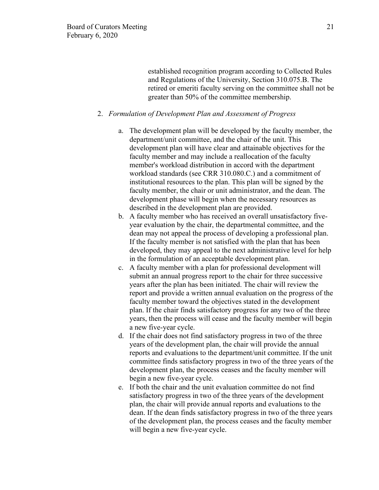established recognition program according to Collected Rules and Regulations of the University, Section 310.075.B. The retired or emeriti faculty serving on the committee shall not be greater than 50% of the committee membership.

### 2. *Formulation of Development Plan and Assessment of Progress*

- a. The development plan will be developed by the faculty member, the department/unit committee, and the chair of the unit. This development plan will have clear and attainable objectives for the faculty member and may include a reallocation of the faculty member's workload distribution in accord with the department workload standards (see CRR 310.080.C.) and a commitment of institutional resources to the plan. This plan will be signed by the faculty member, the chair or unit administrator, and the dean. The development phase will begin when the necessary resources as described in the development plan are provided.
- b. A faculty member who has received an overall unsatisfactory fiveyear evaluation by the chair, the departmental committee, and the dean may not appeal the process of developing a professional plan. If the faculty member is not satisfied with the plan that has been developed, they may appeal to the next administrative level for help in the formulation of an acceptable development plan.
- c. A faculty member with a plan for professional development will submit an annual progress report to the chair for three successive years after the plan has been initiated. The chair will review the report and provide a written annual evaluation on the progress of the faculty member toward the objectives stated in the development plan. If the chair finds satisfactory progress for any two of the three years, then the process will cease and the faculty member will begin a new five-year cycle.
- d. If the chair does not find satisfactory progress in two of the three years of the development plan, the chair will provide the annual reports and evaluations to the department/unit committee. If the unit committee finds satisfactory progress in two of the three years of the development plan, the process ceases and the faculty member will begin a new five-year cycle.
- e. If both the chair and the unit evaluation committee do not find satisfactory progress in two of the three years of the development plan, the chair will provide annual reports and evaluations to the dean. If the dean finds satisfactory progress in two of the three years of the development plan, the process ceases and the faculty member will begin a new five-year cycle.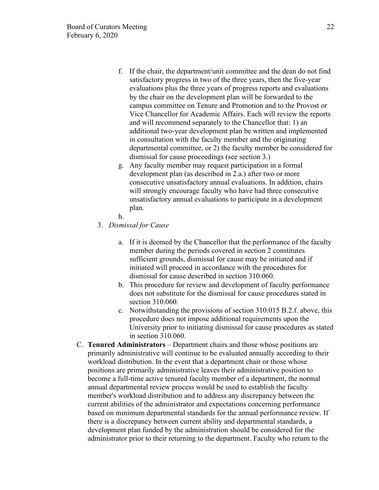- f. If the chair, the department/unit committee and the dean do not find satisfactory progress in two of the three years, then the five-year evaluations plus the three years of progress reports and evaluations by the chair on the development plan will be forwarded to the campus committee on Tenure and Promotion and to the Provost or Vice Chancellor for Academic Affairs. Each will review the reports and will recommend separately to the Chancellor that: 1) an additional two-year development plan be written and implemented in consultation with the faculty member and the originating departmental committee, or 2) the faculty member be considered for dismissal for cause proceedings (see section 3.)
- g. Any faculty member may request participation in a formal development plan (as described in 2.a.) after two or more consecutive unsatisfactory annual evaluations. In addition, chairs will strongly encourage faculty who have had three consecutive unsatisfactory annual evaluations to participate in a development plan.
- h.
- 3. *Dismissal for Cause*
	- a. If it is deemed by the Chancellor that the performance of the faculty member during the periods covered in section 2 constitutes sufficient grounds, dismissal for cause may be initiated and if initiated will proceed in accordance with the procedures for dismissal for cause described in section 310.060.
	- b. This procedure for review and development of faculty performance does not substitute for the dismissal for cause procedures stated in section 310.060.
	- c. Notwithstanding the provisions of section 310.015 B.2.f. above, this procedure does not impose additional requirements upon the University prior to initiating dismissal for cause procedures as stated in section 310.060.
- C. **Tenured Administrators** Department chairs and those whose positions are primarily administrative will continue to be evaluated annually according to their workload distribution. In the event that a department chair or those whose positions are primarily administrative leaves their administrative position to become a full-time active tenured faculty member of a department, the normal annual departmental review process would be used to establish the faculty member's workload distribution and to address any discrepancy between the current abilities of the administrator and expectations concerning performance based on minimum departmental standards for the annual performance review. If there is a discrepancy between current ability and departmental standards, a development plan funded by the administration should be considered for the administrator prior to their returning to the department. Faculty who return to the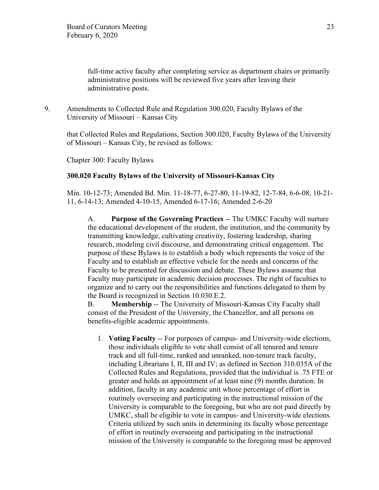full-time active faculty after completing service as department chairs or primarily administrative positions will be reviewed five years after leaving their administrative posts.

9. Amendments to Collected Rule and Regulation 300.020, Faculty Bylaws of the University of Missouri – Kansas City

that Collected Rules and Regulations, Section 300.020, Faculty Bylaws of the University of Missouri – Kansas City, be revised as follows:

Chapter 300: Faculty Bylaws

# **300.020 Faculty Bylaws of the University of Missouri-Kansas City**

Min. 10-12-73; Amended Bd. Min. 11-18-77, 6-27-80, 11-19-82, 12-7-84, 6-6-08, 10-21- 11, 6-14-13; Amended 4-10-15, Amended 6-17-16; Amended 2-6-20

A. **Purpose of the Governing Practices** -- The UMKC Faculty will nurture the educational development of the student, the institution, and the community by transmitting knowledge, cultivating creativity, fostering leadership, sharing research, modeling civil discourse, and demonstrating critical engagement. The purpose of these Bylaws is to establish a body which represents the voice of the Faculty and to establish an effective vehicle for the needs and concerns of the Faculty to be presented for discussion and debate. These Bylaws assume that Faculty may participate in academic decision processes. The right of faculties to organize and to carry out the responsibilities and functions delegated to them by the Board is recognized in Section 10.030.E.2.

B. **Membership** -- The University of Missouri-Kansas City Faculty shall consist of the President of the University, the Chancellor, and all persons on benefits-eligible academic appointments.

1. **Voting Faculty** -- For purposes of campus- and University-wide elections, those individuals eligible to vote shall consist of all tenured and tenure track and all full-time, ranked and unranked, non-tenure track faculty, including Librarians I, II, III and IV; as defined in Section 310.035A of the Collected Rules and Regulations, provided that the individual is .75 FTE or greater and holds an appointment of at least nine (9) months duration. In addition, faculty in any academic unit whose percentage of effort in routinely overseeing and participating in the instructional mission of the University is comparable to the foregoing, but who are not paid directly by UMKC, shall be eligible to vote in campus- and University-wide elections. Criteria utilized by such units in determining its faculty whose percentage of effort in routinely overseeing and participating in the instructional mission of the University is comparable to the foregoing must be approved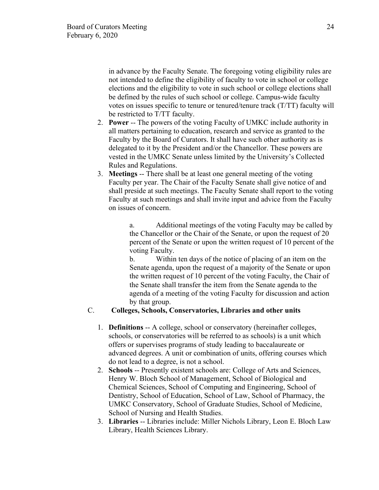in advance by the Faculty Senate. The foregoing voting eligibility rules are not intended to define the eligibility of faculty to vote in school or college elections and the eligibility to vote in such school or college elections shall be defined by the rules of such school or college. Campus-wide faculty votes on issues specific to tenure or tenured/tenure track (T/TT) faculty will be restricted to T/TT faculty.

- 2. **Power** -- The powers of the voting Faculty of UMKC include authority in all matters pertaining to education, research and service as granted to the Faculty by the Board of Curators. It shall have such other authority as is delegated to it by the President and/or the Chancellor. These powers are vested in the UMKC Senate unless limited by the University's Collected Rules and Regulations.
- 3. **Meetings** -- There shall be at least one general meeting of the voting Faculty per year. The Chair of the Faculty Senate shall give notice of and shall preside at such meetings. The Faculty Senate shall report to the voting Faculty at such meetings and shall invite input and advice from the Faculty on issues of concern.

a. Additional meetings of the voting Faculty may be called by the Chancellor or the Chair of the Senate, or upon the request of 20 percent of the Senate or upon the written request of 10 percent of the voting Faculty.

b. Within ten days of the notice of placing of an item on the Senate agenda, upon the request of a majority of the Senate or upon the written request of 10 percent of the voting Faculty, the Chair of the Senate shall transfer the item from the Senate agenda to the agenda of a meeting of the voting Faculty for discussion and action by that group.

## C. **Colleges, Schools, Conservatories, Libraries and other units**

- 1. **Definitions** -- A college, school or conservatory (hereinafter colleges, schools, or conservatories will be referred to as schools) is a unit which offers or supervises programs of study leading to baccalaureate or advanced degrees. A unit or combination of units, offering courses which do not lead to a degree, is not a school.
- 2. **Schools** -- Presently existent schools are: College of Arts and Sciences, Henry W. Bloch School of Management, School of Biological and Chemical Sciences, School of Computing and Engineering, School of Dentistry, School of Education, School of Law, School of Pharmacy, the UMKC Conservatory, School of Graduate Studies, School of Medicine, School of Nursing and Health Studies.
- 3. **Libraries** -- Libraries include: Miller Nichols Library, Leon E. Bloch Law Library, Health Sciences Library.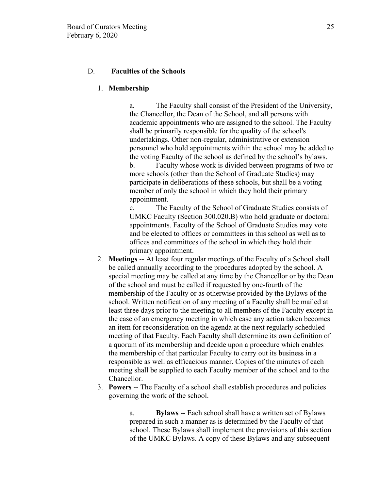## D. **Faculties of the Schools**

### 1. **Membership**

a. The Faculty shall consist of the President of the University, the Chancellor, the Dean of the School, and all persons with academic appointments who are assigned to the school. The Faculty shall be primarily responsible for the quality of the school's undertakings. Other non-regular, administrative or extension personnel who hold appointments within the school may be added to the voting Faculty of the school as defined by the school's bylaws. b. Faculty whose work is divided between programs of two or more schools (other than the School of Graduate Studies) may participate in deliberations of these schools, but shall be a voting member of only the school in which they hold their primary appointment.

c. The Faculty of the School of Graduate Studies consists of UMKC Faculty (Section 300.020.B) who hold graduate or doctoral appointments. Faculty of the School of Graduate Studies may vote and be elected to offices or committees in this school as well as to offices and committees of the school in which they hold their primary appointment.

- 2. **Meetings** -- At least four regular meetings of the Faculty of a School shall be called annually according to the procedures adopted by the school. A special meeting may be called at any time by the Chancellor or by the Dean of the school and must be called if requested by one-fourth of the membership of the Faculty or as otherwise provided by the Bylaws of the school. Written notification of any meeting of a Faculty shall be mailed at least three days prior to the meeting to all members of the Faculty except in the case of an emergency meeting in which case any action taken becomes an item for reconsideration on the agenda at the next regularly scheduled meeting of that Faculty. Each Faculty shall determine its own definition of a quorum of its membership and decide upon a procedure which enables the membership of that particular Faculty to carry out its business in a responsible as well as efficacious manner. Copies of the minutes of each meeting shall be supplied to each Faculty member of the school and to the Chancellor.
- 3. **Powers** -- The Faculty of a school shall establish procedures and policies governing the work of the school.

a. **Bylaws** -- Each school shall have a written set of Bylaws prepared in such a manner as is determined by the Faculty of that school. These Bylaws shall implement the provisions of this section of the UMKC Bylaws. A copy of these Bylaws and any subsequent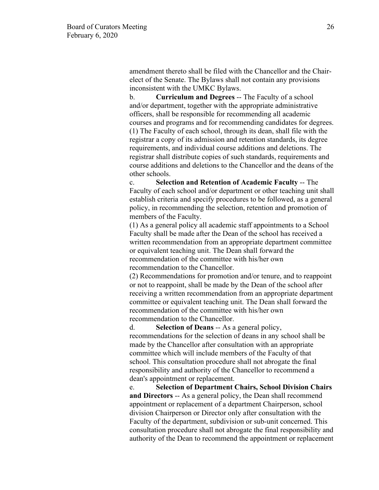amendment thereto shall be filed with the Chancellor and the Chairelect of the Senate. The Bylaws shall not contain any provisions inconsistent with the UMKC Bylaws.

b. **Curriculum and Degrees** -- The Faculty of a school and/or department, together with the appropriate administrative officers, shall be responsible for recommending all academic courses and programs and for recommending candidates for degrees. (1) The Faculty of each school, through its dean, shall file with the registrar a copy of its admission and retention standards, its degree requirements, and individual course additions and deletions. The registrar shall distribute copies of such standards, requirements and course additions and deletions to the Chancellor and the deans of the other schools.

c. **Selection and Retention of Academic Faculty** -- The Faculty of each school and/or department or other teaching unit shall establish criteria and specify procedures to be followed, as a general policy, in recommending the selection, retention and promotion of members of the Faculty.

(1) As a general policy all academic staff appointments to a School Faculty shall be made after the Dean of the school has received a written recommendation from an appropriate department committee or equivalent teaching unit. The Dean shall forward the recommendation of the committee with his/her own recommendation to the Chancellor.

(2) Recommendations for promotion and/or tenure, and to reappoint or not to reappoint, shall be made by the Dean of the school after receiving a written recommendation from an appropriate department committee or equivalent teaching unit. The Dean shall forward the recommendation of the committee with his/her own recommendation to the Chancellor.

d. **Selection of Deans** -- As a general policy, recommendations for the selection of deans in any school shall be made by the Chancellor after consultation with an appropriate committee which will include members of the Faculty of that school. This consultation procedure shall not abrogate the final responsibility and authority of the Chancellor to recommend a dean's appointment or replacement.

e. **Selection of Department Chairs, School Division Chairs and Directors** -- As a general policy, the Dean shall recommend appointment or replacement of a department Chairperson, school division Chairperson or Director only after consultation with the Faculty of the department, subdivision or sub-unit concerned. This consultation procedure shall not abrogate the final responsibility and authority of the Dean to recommend the appointment or replacement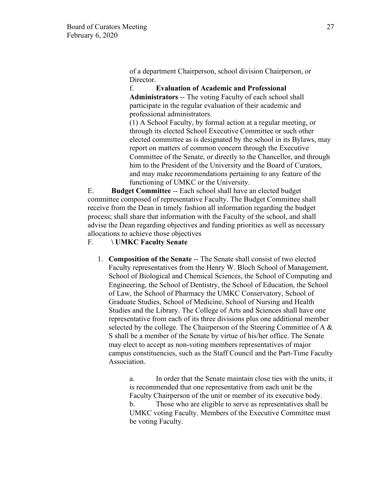of a department Chairperson, school division Chairperson, or Director.

f. **Evaluation of Academic and Professional Administrators** -- The voting Faculty of each school shall participate in the regular evaluation of their academic and professional administrators.

(1) A School Faculty, by formal action at a regular meeting, or through its elected School Executive Committee or such other elected committee as is designated by the school in its Bylaws, may report on matters of common concern through the Executive Committee of the Senate, or directly to the Chancellor, and through him to the President of the University and the Board of Curators, and may make recommendations pertaining to any feature of the functioning of UMKC or the University.

E. **Budget Committee** -- Each school shall have an elected budget committee composed of representative Faculty. The Budget Committee shall receive from the Dean in timely fashion all information regarding the budget process; shall share that information with the Faculty of the school, and shall advise the Dean regarding objectives and funding priorities as well as necessary allocations to achieve those objectives

### F. **\ UMKC Faculty Senate**

1. **Composition of the Senate** -- The Senate shall consist of two elected Faculty representatives from the Henry W. Bloch School of Management, School of Biological and Chemical Sciences, the School of Computing and Engineering, the School of Dentistry, the School of Education, the School of Law, the School of Pharmacy the UMKC Conservatory, School of Graduate Studies, School of Medicine, School of Nursing and Health Studies and the Library. The College of Arts and Sciences shall have one representative from each of its three divisions plus one additional member selected by the college. The Chairperson of the Steering Committee of A & S shall be a member of the Senate by virtue of his/her office. The Senate may elect to accept as non-voting members representatives of major campus constituencies, such as the Staff Council and the Part-Time Faculty Association.

> a. In order that the Senate maintain close ties with the units, it is recommended that one representative from each unit be the Faculty Chairperson of the unit or member of its executive body. b. Those who are eligible to serve as representatives shall be UMKC voting Faculty. Members of the Executive Committee must be voting Faculty.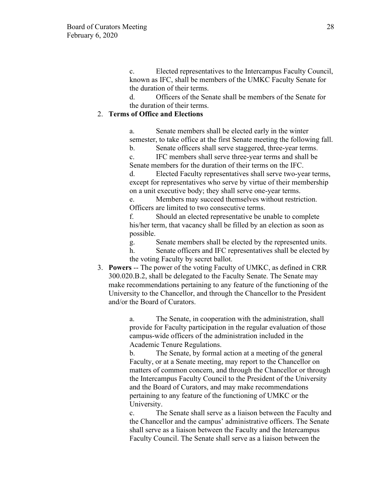c. Elected representatives to the Intercampus Faculty Council, known as IFC, shall be members of the UMKC Faculty Senate for the duration of their terms.

d. Officers of the Senate shall be members of the Senate for the duration of their terms.

# 2. **Terms of Office and Elections**

a. Senate members shall be elected early in the winter semester, to take office at the first Senate meeting the following fall.

b. Senate officers shall serve staggered, three-year terms.

c. IFC members shall serve three-year terms and shall be Senate members for the duration of their terms on the IFC.

d. Elected Faculty representatives shall serve two-year terms, except for representatives who serve by virtue of their membership on a unit executive body; they shall serve one-year terms.

e. Members may succeed themselves without restriction. Officers are limited to two consecutive terms.

f. Should an elected representative be unable to complete his/her term, that vacancy shall be filled by an election as soon as possible.

g. Senate members shall be elected by the represented units.

h. Senate officers and IFC representatives shall be elected by the voting Faculty by secret ballot.

3. **Powers** -- The power of the voting Faculty of UMKC, as defined in CRR 300.020.B.2, shall be delegated to the Faculty Senate. The Senate may make recommendations pertaining to any feature of the functioning of the University to the Chancellor, and through the Chancellor to the President and/or the Board of Curators.

> a. The Senate, in cooperation with the administration, shall provide for Faculty participation in the regular evaluation of those campus-wide officers of the administration included in the Academic Tenure Regulations.

b. The Senate, by formal action at a meeting of the general Faculty, or at a Senate meeting, may report to the Chancellor on matters of common concern, and through the Chancellor or through the Intercampus Faculty Council to the President of the University and the Board of Curators, and may make recommendations pertaining to any feature of the functioning of UMKC or the University.

c. The Senate shall serve as a liaison between the Faculty and the Chancellor and the campus' administrative officers. The Senate shall serve as a liaison between the Faculty and the Intercampus Faculty Council. The Senate shall serve as a liaison between the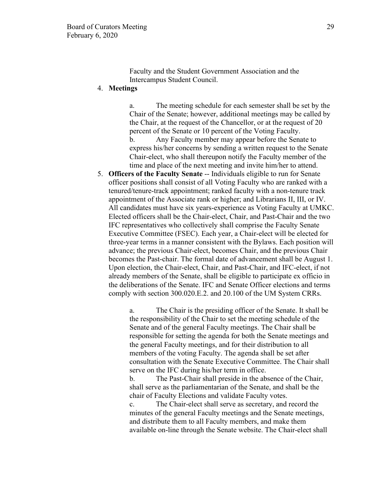Faculty and the Student Government Association and the Intercampus Student Council.

## 4. **Meetings**

a. The meeting schedule for each semester shall be set by the Chair of the Senate; however, additional meetings may be called by the Chair, at the request of the Chancellor, or at the request of 20 percent of the Senate or 10 percent of the Voting Faculty.

b. Any Faculty member may appear before the Senate to express his/her concerns by sending a written request to the Senate Chair-elect, who shall thereupon notify the Faculty member of the time and place of the next meeting and invite him/her to attend.

5. **Officers of the Faculty Senate** -- Individuals eligible to run for Senate officer positions shall consist of all Voting Faculty who are ranked with a tenured/tenure-track appointment; ranked faculty with a non-tenure track appointment of the Associate rank or higher; and Librarians II, III, or IV. All candidates must have six years-experience as Voting Faculty at UMKC. Elected officers shall be the Chair-elect, Chair, and Past-Chair and the two IFC representatives who collectively shall comprise the Faculty Senate Executive Committee (FSEC). Each year, a Chair-elect will be elected for three-year terms in a manner consistent with the Bylaws. Each position will advance; the previous Chair-elect, becomes Chair, and the previous Chair becomes the Past-chair. The formal date of advancement shall be August 1. Upon election, the Chair-elect, Chair, and Past-Chair, and IFC-elect, if not already members of the Senate, shall be eligible to participate ex officio in the deliberations of the Senate. IFC and Senate Officer elections and terms comply with section 300.020.E.2. and 20.100 of the UM System CRRs.

> a. The Chair is the presiding officer of the Senate. It shall be the responsibility of the Chair to set the meeting schedule of the Senate and of the general Faculty meetings. The Chair shall be responsible for setting the agenda for both the Senate meetings and the general Faculty meetings, and for their distribution to all members of the voting Faculty. The agenda shall be set after consultation with the Senate Executive Committee. The Chair shall serve on the IFC during his/her term in office.

b. The Past-Chair shall preside in the absence of the Chair, shall serve as the parliamentarian of the Senate, and shall be the chair of Faculty Elections and validate Faculty votes.

c. The Chair-elect shall serve as secretary, and record the minutes of the general Faculty meetings and the Senate meetings, and distribute them to all Faculty members, and make them available on-line through the Senate website. The Chair-elect shall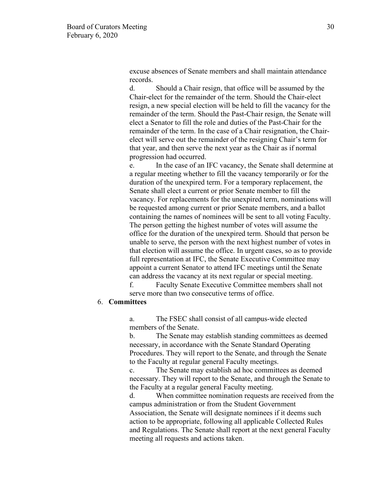excuse absences of Senate members and shall maintain attendance records.

d. Should a Chair resign, that office will be assumed by the Chair-elect for the remainder of the term. Should the Chair-elect resign, a new special election will be held to fill the vacancy for the remainder of the term. Should the Past-Chair resign, the Senate will elect a Senator to fill the role and duties of the Past-Chair for the remainder of the term. In the case of a Chair resignation, the Chairelect will serve out the remainder of the resigning Chair's term for that year, and then serve the next year as the Chair as if normal progression had occurred.

e. In the case of an IFC vacancy, the Senate shall determine at a regular meeting whether to fill the vacancy temporarily or for the duration of the unexpired term. For a temporary replacement, the Senate shall elect a current or prior Senate member to fill the vacancy. For replacements for the unexpired term, nominations will be requested among current or prior Senate members, and a ballot containing the names of nominees will be sent to all voting Faculty. The person getting the highest number of votes will assume the office for the duration of the unexpired term. Should that person be unable to serve, the person with the next highest number of votes in that election will assume the office. In urgent cases, so as to provide full representation at IFC, the Senate Executive Committee may appoint a current Senator to attend IFC meetings until the Senate can address the vacancy at its next regular or special meeting.

f. Faculty Senate Executive Committee members shall not serve more than two consecutive terms of office.

### 6. **Committees**

a. The FSEC shall consist of all campus-wide elected members of the Senate.

b. The Senate may establish standing committees as deemed necessary, in accordance with the Senate Standard Operating Procedures. They will report to the Senate, and through the Senate to the Faculty at regular general Faculty meetings.

c. The Senate may establish ad hoc committees as deemed necessary. They will report to the Senate, and through the Senate to the Faculty at a regular general Faculty meeting.

d. When committee nomination requests are received from the campus administration or from the Student Government Association, the Senate will designate nominees if it deems such action to be appropriate, following all applicable Collected Rules and Regulations. The Senate shall report at the next general Faculty meeting all requests and actions taken.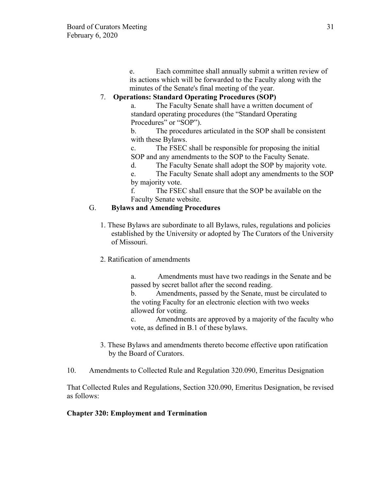e. Each committee shall annually submit a written review of its actions which will be forwarded to the Faculty along with the minutes of the Senate's final meeting of the year.

# 7. **Operations: Standard Operating Procedures (SOP)**

a. The Faculty Senate shall have a written document of standard operating procedures (the "Standard Operating Procedures" or "SOP").

b. The procedures articulated in the SOP shall be consistent with these Bylaws.

c. The FSEC shall be responsible for proposing the initial SOP and any amendments to the SOP to the Faculty Senate.

d. The Faculty Senate shall adopt the SOP by majority vote.

e. The Faculty Senate shall adopt any amendments to the SOP by majority vote.

f. The FSEC shall ensure that the SOP be available on the Faculty Senate website.

# G. **Bylaws and Amending Procedures**

- 1. These Bylaws are subordinate to all Bylaws, rules, regulations and policies established by the University or adopted by The Curators of the University of Missouri.
- 2. Ratification of amendments

a. Amendments must have two readings in the Senate and be passed by secret ballot after the second reading.

b. Amendments, passed by the Senate, must be circulated to the voting Faculty for an electronic election with two weeks allowed for voting.

c. Amendments are approved by a majority of the faculty who vote, as defined in B.1 of these bylaws.

- 3. These Bylaws and amendments thereto become effective upon ratification by the Board of Curators.
- 10. Amendments to Collected Rule and Regulation 320.090, Emeritus Designation

That Collected Rules and Regulations, Section 320.090, Emeritus Designation, be revised as follows:

# **Chapter 320: Employment and Termination**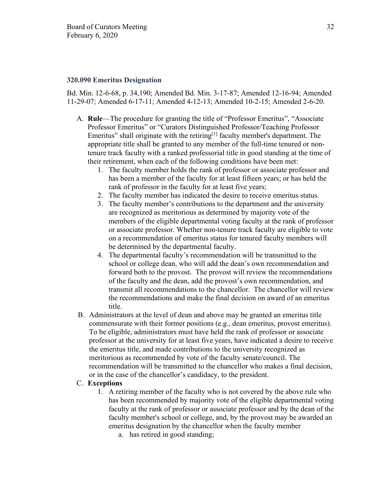#### **320.090 Emeritus Designation**

Bd. Min. 12-6-68, p. 34,190; Amended Bd. Min. 3-17-87; Amended 12-16-94; Amended 11-29-07; Amended 6-17-11; Amended 4-12-13; Amended 10-2-15; Amended 2-6-20.

- A. **Rule**—The procedure for granting the title of "Professor Emeritus", "Associate Professor Emeritus" or "Curators Distinguished Professor/Teaching Professor Emeritus" shall originate with the retiring<sup>[1]</sup> faculty member's department. The appropriate title shall be granted to any member of the full-time tenured or nontenure track faculty with a ranked professorial title in good standing at the time of their retirement, when each of the following conditions have been met:
	- 1. The faculty member holds the rank of professor or associate professor and has been a member of the faculty for at least fifteen years; or has held the rank of professor in the faculty for at least five years;
	- 2. The faculty member has indicated the desire to receive emeritus status.
	- 3. The faculty member's contributions to the department and the university are recognized as meritorious as determined by majority vote of the members of the eligible departmental voting faculty at the rank of professor or associate professor. Whether non-tenure track faculty are eligible to vote on a recommendation of emeritus status for tenured faculty members will be determined by the departmental faculty.
	- 4. The departmental faculty's recommendation will be transmitted to the school or college dean, who will add the dean's own recommendation and forward both to the provost. The provost will review the recommendations of the faculty and the dean, add the provost's own recommendation, and transmit all recommendations to the chancellor. The chancellor will review the recommendations and make the final decision on award of an emeritus title.
- B. Administrators at the level of dean and above may be granted an emeritus title commensurate with their former positions (e.g., dean emeritus, provost emeritus). To be eligible, administrators must have held the rank of professor or associate professor at the university for at least five years, have indicated a desire to receive the emeritus title, and made contributions to the university recognized as meritorious as recommended by vote of the faculty senate/council. The recommendation will be transmitted to the chancellor who makes a final decision, or in the case of the chancellor's candidacy, to the president.

### C. **Exceptions**

- 1. A retiring member of the faculty who is not covered by the above rule who has been recommended by majority vote of the eligible departmental voting faculty at the rank of professor or associate professor and by the dean of the faculty member's school or college, and, by the provost may be awarded an emeritus designation by the chancellor when the faculty member
	- a. has retired in good standing;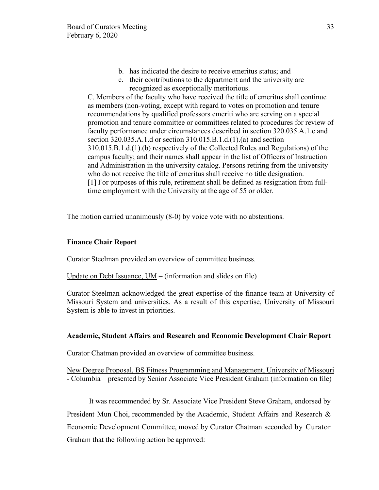- b. has indicated the desire to receive emeritus status; and
- c. their contributions to the department and the university are recognized as exceptionally meritorious.

C. Members of the faculty who have received the title of emeritus shall continue as members (non-voting, except with regard to votes on promotion and tenure recommendations by qualified professors emeriti who are serving on a special promotion and tenure committee or committees related to procedures for review of faculty performance under circumstances described in section 320.035.A.1.c and section 320.035.A.1.d or section 310.015.B.1.d.(1).(a) and section 310.015.B.1.d.(1).(b) respectively of the Collected Rules and Regulations) of the campus faculty; and their names shall appear in the list of Officers of Instruction and Administration in the university catalog. Persons retiring from the university who do not receive the title of emeritus shall receive no title designation. [1] For purposes of this rule, retirement shall be defined as resignation from fulltime employment with the University at the age of 55 or older.

The motion carried unanimously (8-0) by voice vote with no abstentions.

### **Finance Chair Report**

Curator Steelman provided an overview of committee business.

Update on Debt Issuance, UM – (information and slides on file)

Curator Steelman acknowledged the great expertise of the finance team at University of Missouri System and universities. As a result of this expertise, University of Missouri System is able to invest in priorities.

## **Academic, Student Affairs and Research and Economic Development Chair Report**

Curator Chatman provided an overview of committee business.

New Degree Proposal, BS Fitness Programming and Management, University of Missouri - Columbia – presented by Senior Associate Vice President Graham (information on file)

It was recommended by Sr. Associate Vice President Steve Graham, endorsed by President Mun Choi, recommended by the Academic, Student Affairs and Research & Economic Development Committee, moved by Curator Chatman seconded by Curator Graham that the following action be approved: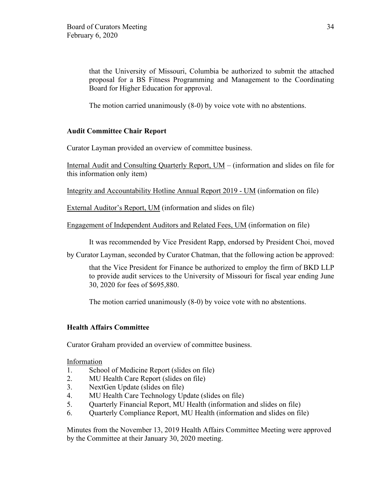that the University of Missouri, Columbia be authorized to submit the attached proposal for a BS Fitness Programming and Management to the Coordinating Board for Higher Education for approval.

The motion carried unanimously (8-0) by voice vote with no abstentions.

# **Audit Committee Chair Report**

Curator Layman provided an overview of committee business.

Internal Audit and Consulting Quarterly Report, UM – (information and slides on file for this information only item)

Integrity and Accountability Hotline Annual Report 2019 - UM (information on file)

External Auditor's Report, UM (information and slides on file)

Engagement of Independent Auditors and Related Fees, UM (information on file)

It was recommended by Vice President Rapp, endorsed by President Choi, moved

by Curator Layman, seconded by Curator Chatman, that the following action be approved:

that the Vice President for Finance be authorized to employ the firm of BKD LLP to provide audit services to the University of Missouri for fiscal year ending June 30, 2020 for fees of \$695,880.

The motion carried unanimously (8-0) by voice vote with no abstentions.

# **Health Affairs Committee**

Curator Graham provided an overview of committee business.

Information

- 1. School of Medicine Report (slides on file)
- 2. MU Health Care Report (slides on file)
- 3. NextGen Update (slides on file)
- 4. MU Health Care Technology Update (slides on file)
- 5. Quarterly Financial Report, MU Health (information and slides on file)
- 6. Quarterly Compliance Report, MU Health (information and slides on file)

Minutes from the November 13, 2019 Health Affairs Committee Meeting were approved by the Committee at their January 30, 2020 meeting.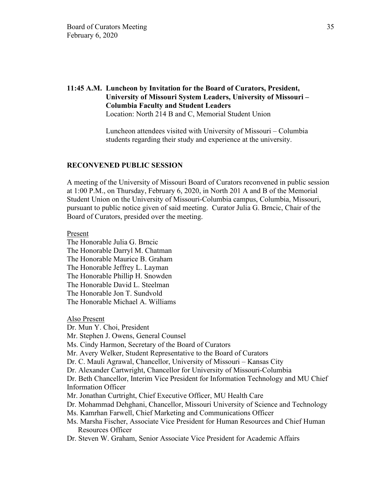# **11:45 A.M. Luncheon by Invitation for the Board of Curators, President, University of Missouri System Leaders, University of Missouri – Columbia Faculty and Student Leaders**

Location: North 214 B and C, Memorial Student Union

Luncheon attendees visited with University of Missouri – Columbia students regarding their study and experience at the university.

### **RECONVENED PUBLIC SESSION**

A meeting of the University of Missouri Board of Curators reconvened in public session at 1:00 P.M., on Thursday, February 6, 2020, in North 201 A and B of the Memorial Student Union on the University of Missouri-Columbia campus, Columbia, Missouri, pursuant to public notice given of said meeting. Curator Julia G. Brncic, Chair of the Board of Curators, presided over the meeting.

Present

The Honorable Julia G. Brncic The Honorable Darryl M. Chatman The Honorable Maurice B. Graham The Honorable Jeffrey L. Layman The Honorable Phillip H. Snowden The Honorable David L. Steelman The Honorable Jon T. Sundvold The Honorable Michael A. Williams

Also Present Dr. Mun Y. Choi, President Mr. Stephen J. Owens, General Counsel Ms. Cindy Harmon, Secretary of the Board of Curators Mr. Avery Welker, Student Representative to the Board of Curators Dr. C. Mauli Agrawal, Chancellor, University of Missouri – Kansas City Dr. Alexander Cartwright, Chancellor for University of Missouri-Columbia Dr. Beth Chancellor, Interim Vice President for Information Technology and MU Chief Information Officer Mr. Jonathan Curtright, Chief Executive Officer, MU Health Care Dr. Mohammad Dehghani, Chancellor, Missouri University of Science and Technology Ms. Kamrhan Farwell, Chief Marketing and Communications Officer Ms. Marsha Fischer, Associate Vice President for Human Resources and Chief Human Resources Officer Dr. Steven W. Graham, Senior Associate Vice President for Academic Affairs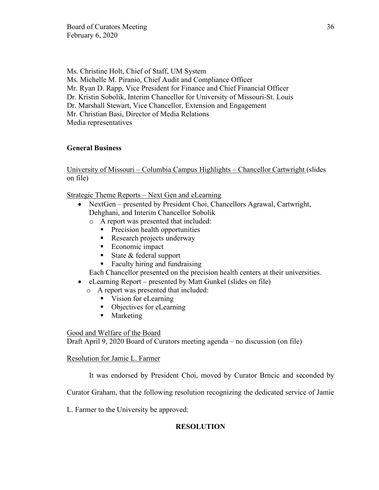Ms. Christine Holt, Chief of Staff, UM System Ms. Michelle M. Piranio, Chief Audit and Compliance Officer Mr. Ryan D. Rapp, Vice President for Finance and Chief Financial Officer Dr. Kristin Sobolik, Interim Chancellor for University of Missouri-St. Louis Dr. Marshall Stewart, Vice Chancellor, Extension and Engagement Mr. Christian Basi, Director of Media Relations Media representatives

# **General Business**

University of Missouri – Columbia Campus Highlights – Chancellor Cartwright (slides on file)

Strategic Theme Reports – Next Gen and eLearning

- NextGen presented by President Choi, Chancellors Agrawal, Cartwright, Dehghani, and Interim Chancellor Sobolik
	- o A report was presented that included:
		- **Precision health opportunities**
		- Research projects underway
		- Economic impact
		- State & federal support
		- Faculty hiring and fundraising

Each Chancellor presented on the precision health centers at their universities.

- eLearning Report presented by Matt Gunkel (slides on file)
	- o A report was presented that included:
		- Vision for eLearning
		- Objectives for eLearning
		- **Marketing**

# Good and Welfare of the Board

Draft April 9, 2020 Board of Curators meeting agenda – no discussion (on file)

# Resolution for Jamie L. Farmer

It was endorsed by President Choi, moved by Curator Brncic and seconded by

Curator Graham, that the following resolution recognizing the dedicated service of Jamie

L. Farmer to the University be approved:

# **RESOLUTION**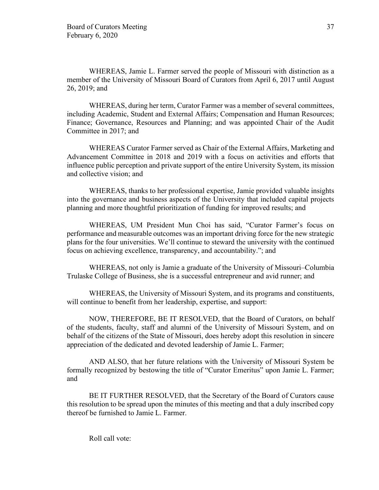WHEREAS, Jamie L. Farmer served the people of Missouri with distinction as a member of the University of Missouri Board of Curators from April 6, 2017 until August 26, 2019; and

WHEREAS, during her term, Curator Farmer was a member of several committees, including Academic, Student and External Affairs; Compensation and Human Resources; Finance; Governance, Resources and Planning; and was appointed Chair of the Audit Committee in 2017; and

WHEREAS Curator Farmer served as Chair of the External Affairs, Marketing and Advancement Committee in 2018 and 2019 with a focus on activities and efforts that influence public perception and private support of the entire University System, its mission and collective vision; and

WHEREAS, thanks to her professional expertise, Jamie provided valuable insights into the governance and business aspects of the University that included capital projects planning and more thoughtful prioritization of funding for improved results; and

WHEREAS, UM President Mun Choi has said, "Curator Farmer's focus on performance and measurable outcomes was an important driving force for the new strategic plans for the four universities. We'll continue to steward the university with the continued focus on achieving excellence, transparency, and accountability."; and

WHEREAS, not only is Jamie a graduate of the University of Missouri–Columbia Trulaske College of Business, she is a successful entrepreneur and avid runner; and

WHEREAS, the University of Missouri System, and its programs and constituents, will continue to benefit from her leadership, expertise, and support:

NOW, THEREFORE, BE IT RESOLVED, that the Board of Curators, on behalf of the students, faculty, staff and alumni of the University of Missouri System, and on behalf of the citizens of the State of Missouri, does hereby adopt this resolution in sincere appreciation of the dedicated and devoted leadership of Jamie L. Farmer;

AND ALSO, that her future relations with the University of Missouri System be formally recognized by bestowing the title of "Curator Emeritus" upon Jamie L. Farmer; and

BE IT FURTHER RESOLVED, that the Secretary of the Board of Curators cause this resolution to be spread upon the minutes of this meeting and that a duly inscribed copy thereof be furnished to Jamie L. Farmer.

Roll call vote: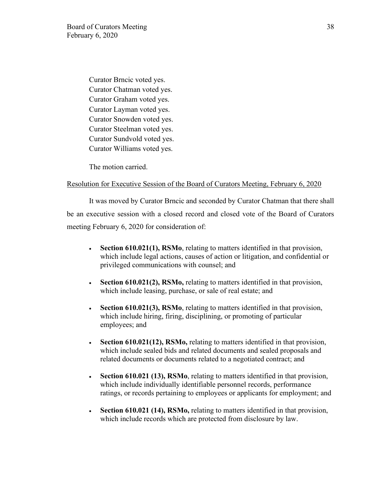Curator Brncic voted yes. Curator Chatman voted yes. Curator Graham voted yes. Curator Layman voted yes. Curator Snowden voted yes. Curator Steelman voted yes. Curator Sundvold voted yes. Curator Williams voted yes.

The motion carried.

### Resolution for Executive Session of the Board of Curators Meeting, February 6, 2020

It was moved by Curator Brncic and seconded by Curator Chatman that there shall be an executive session with a closed record and closed vote of the Board of Curators meeting February 6, 2020 for consideration of:

- **Section 610.021(1), RSMo**, relating to matters identified in that provision, which include legal actions, causes of action or litigation, and confidential or privileged communications with counsel; and
- **Section 610.021(2), RSMo, relating to matters identified in that provision,** which include leasing, purchase, or sale of real estate; and
- **Section 610.021(3), RSMo**, relating to matters identified in that provision, which include hiring, firing, disciplining, or promoting of particular employees; and
- **Section 610.021(12), RSMo,** relating to matters identified in that provision, which include sealed bids and related documents and sealed proposals and related documents or documents related to a negotiated contract; and
- **Section 610.021 (13), RSMo**, relating to matters identified in that provision, which include individually identifiable personnel records, performance ratings, or records pertaining to employees or applicants for employment; and
- **Section 610.021 (14), RSMo,** relating to matters identified in that provision, which include records which are protected from disclosure by law.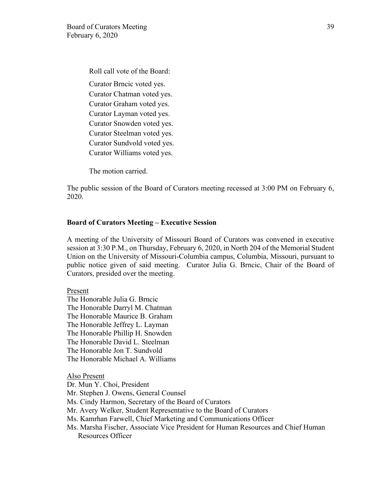Roll call vote of the Board: Curator Brncic voted yes. Curator Chatman voted yes. Curator Graham voted yes. Curator Layman voted yes. Curator Snowden voted yes. Curator Steelman voted yes. Curator Sundvold voted yes. Curator Williams voted yes.

The motion carried.

The public session of the Board of Curators meeting recessed at 3:00 PM on February 6, 2020.

### **Board of Curators Meeting – Executive Session**

A meeting of the University of Missouri Board of Curators was convened in executive session at 3:30 P.M., on Thursday, February 6, 2020, in North 204 of the Memorial Student Union on the University of Missouri-Columbia campus, Columbia, Missouri, pursuant to public notice given of said meeting. Curator Julia G. Brncic, Chair of the Board of Curators, presided over the meeting.

#### Present

The Honorable Julia G. Brncic The Honorable Darryl M. Chatman The Honorable Maurice B. Graham The Honorable Jeffrey L. Layman The Honorable Phillip H. Snowden The Honorable David L. Steelman The Honorable Jon T. Sundvold The Honorable Michael A. Williams

Also Present Dr. Mun Y. Choi, President Mr. Stephen J. Owens, General Counsel Ms. Cindy Harmon, Secretary of the Board of Curators Mr. Avery Welker, Student Representative to the Board of Curators Ms. Kamrhan Farwell, Chief Marketing and Communications Officer Ms. Marsha Fischer, Associate Vice President for Human Resources and Chief Human Resources Officer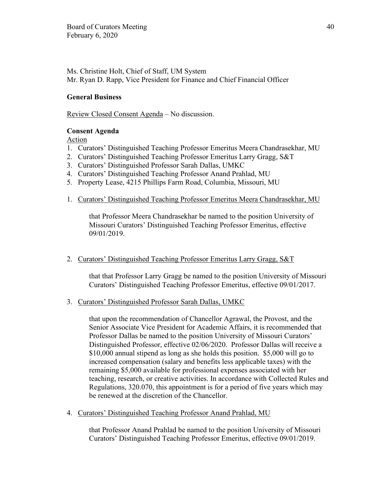Ms. Christine Holt, Chief of Staff, UM System Mr. Ryan D. Rapp, Vice President for Finance and Chief Financial Officer

# **General Business**

Review Closed Consent Agenda – No discussion.

## **Consent Agenda**

Action

- 1. Curators' Distinguished Teaching Professor Emeritus Meera Chandrasekhar, MU
- 2. Curators' Distinguished Teaching Professor Emeritus Larry Gragg, S&T
- 3. Curators' Distinguished Professor Sarah Dallas, UMKC
- 4. Curators' Distinguished Teaching Professor Anand Prahlad, MU
- 5. Property Lease, 4215 Phillips Farm Road, Columbia, Missouri, MU
- 1. Curators' Distinguished Teaching Professor Emeritus Meera Chandrasekhar, MU

that Professor Meera Chandrasekhar be named to the position University of Missouri Curators' Distinguished Teaching Professor Emeritus, effective 09/01/2019.

## 2. Curators' Distinguished Teaching Professor Emeritus Larry Gragg, S&T

that that Professor Larry Gragg be named to the position University of Missouri Curators' Distinguished Teaching Professor Emeritus, effective 09/01/2017.

## 3. Curators' Distinguished Professor Sarah Dallas, UMKC

that upon the recommendation of Chancellor Agrawal, the Provost, and the Senior Associate Vice President for Academic Affairs, it is recommended that Professor Dallas be named to the position University of Missouri Curators' Distinguished Professor, effective 02/06/2020. Professor Dallas will receive a \$10,000 annual stipend as long as she holds this position. \$5,000 will go to increased compensation (salary and benefits less applicable taxes) with the remaining \$5,000 available for professional expenses associated with her teaching, research, or creative activities. In accordance with Collected Rules and Regulations, 320.070, this appointment is for a period of five years which may be renewed at the discretion of the Chancellor.

4. Curators' Distinguished Teaching Professor Anand Prahlad, MU

that Professor Anand Prahlad be named to the position University of Missouri Curators' Distinguished Teaching Professor Emeritus, effective 09/01/2019.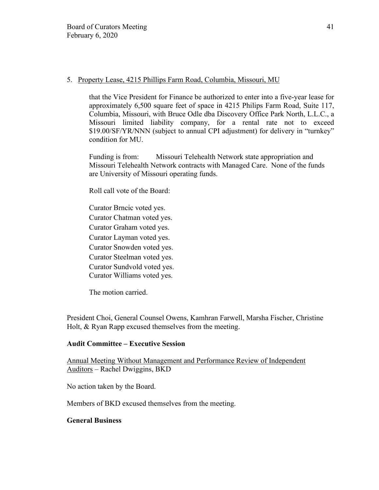### 5. Property Lease, 4215 Phillips Farm Road, Columbia, Missouri, MU

that the Vice President for Finance be authorized to enter into a five-year lease for approximately 6,500 square feet of space in 4215 Philips Farm Road, Suite 117, Columbia, Missouri, with Bruce Odle dba Discovery Office Park North, L.L.C., a Missouri limited liability company, for a rental rate not to exceed \$19.00/SF/YR/NNN (subject to annual CPI adjustment) for delivery in "turnkey" condition for MU.

Funding is from: Missouri Telehealth Network state appropriation and Missouri Telehealth Network contracts with Managed Care. None of the funds are University of Missouri operating funds.

Roll call vote of the Board:

Curator Brncic voted yes. Curator Chatman voted yes. Curator Graham voted yes. Curator Layman voted yes. Curator Snowden voted yes. Curator Steelman voted yes. Curator Sundvold voted yes. Curator Williams voted yes.

The motion carried.

President Choi, General Counsel Owens, Kamhran Farwell, Marsha Fischer, Christine Holt, & Ryan Rapp excused themselves from the meeting.

## **Audit Committee – Executive Session**

Annual Meeting Without Management and Performance Review of Independent Auditors – Rachel Dwiggins, BKD

No action taken by the Board.

Members of BKD excused themselves from the meeting.

## **General Business**